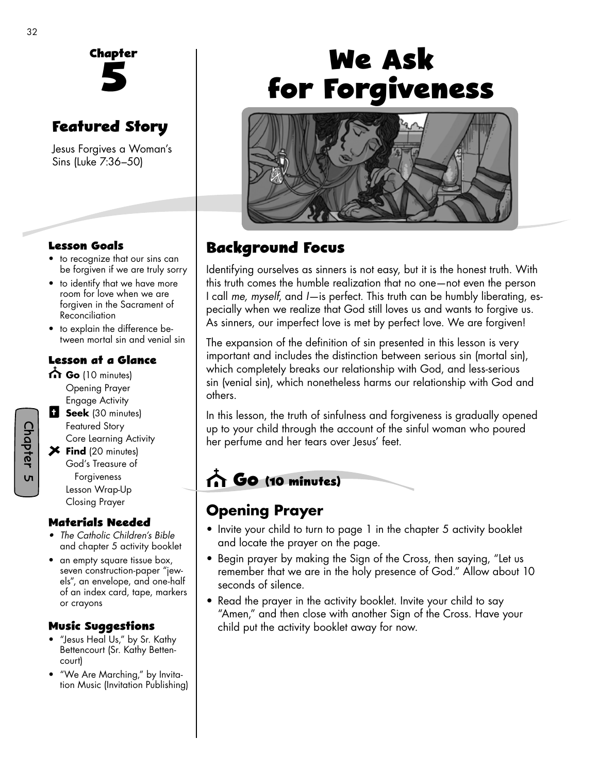

# **Featured Story**

Jesus Forgives a Woman's Sins (Luke 7:36–50)

#### **Lesson Goals**

- to recognize that our sins can be forgiven if we are truly sorry
- to identify that we have more room for love when we are forgiven in the Sacrament of Reconciliation
- to explain the difference between mortal sin and venial sin

#### **Lesson at a Glance**

- Go (10 minutes) Opening Prayer Engage Activity
- **B** Seek (30 minutes) Featured Story Core Learning Activity
- **Find** (20 minutes) God's Treasure of Forgiveness Lesson Wrap-Up Closing Prayer

#### **Materials Needed**

- *The Catholic Children's Bible* and chapter 5 activity booklet
- an empty square tissue box, seven construction-paper "jewels", an envelope, and one-half of an index card, tape, markers or crayons

#### **Music Su�gestions**

- "Jesus Heal Us," by Sr. Kathy Bettencourt (Sr. Kathy Bettencourt)
- "We Are Marching," by Invitation Music (Invitation Publishing)

# **We Ask for Forgiveness**



## **Background Focus**

Identifying ourselves as sinners is not easy, but it is the honest truth. With this truth comes the humble realization that no one—not even the person I call *me, myself*, and *I*—is perfect. This truth can be humbly liberating, especially when we realize that God still loves us and wants to forgive us. As sinners, our imperfect love is met by perfect love. We are forgiven!

The expansion of the definition of sin presented in this lesson is very important and includes the distinction between serious sin (mortal sin), which completely breaks our relationship with God, and less-serious sin (venial sin), which nonetheless harms our relationship with God and others.

In this lesson, the truth of sinfulness and forgiveness is gradually opened up to your child through the account of the sinful woman who poured her perfume and her tears over Jesus' feet.

# **Go (10 minutes)**

### **Opening Prayer**

- Invite your child to turn to page 1 in the chapter 5 activity booklet and locate the prayer on the page.
- Begin prayer by making the Sign of the Cross, then saying, "Let us remember that we are in the holy presence of God." Allow about 10 seconds of silence.
- Read the prayer in the activity booklet. Invite your child to say "Amen," and then close with another Sign of the Cross. Have your child put the activity booklet away for now.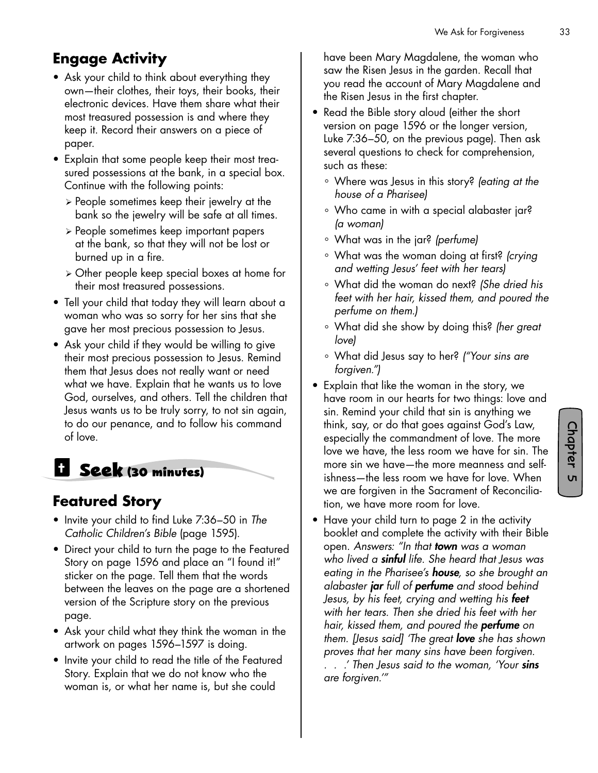# **Engage Activity**

- Ask your child to think about everything they own—their clothes, their toys, their books, their electronic devices. Have them share what their most treasured possession is and where they keep it. Record their answers on a piece of paper.
- Explain that some people keep their most treasured possessions at the bank, in a special box. Continue with the following points:
	- ¾ People sometimes keep their jewelry at the bank so the jewelry will be safe at all times.
	- ¾ People sometimes keep important papers at the bank, so that they will not be lost or burned up in a fire.
	- ¾ Other people keep special boxes at home for their most treasured possessions.
- Tell your child that today they will learn about a woman who was so sorry for her sins that she gave her most precious possession to Jesus.
- Ask your child if they would be willing to give their most precious possession to Jesus. Remind them that Jesus does not really want or need what we have. Explain that he wants us to love God, ourselves, and others. Tell the children that Jesus wants us to be truly sorry, to not sin again, to do our penance, and to follow his command of love.

# **Seek (30 minutes)**

### **Featured Story**

- Invite your child to find Luke 7:36–50 in *The Catholic Children's Bible* (page 1595).
- Direct your child to turn the page to the Featured Story on page 1596 and place an "I found it!" sticker on the page. Tell them that the words between the leaves on the page are a shortened version of the Scripture story on the previous page.
- Ask your child what they think the woman in the artwork on pages 1596–1597 is doing.
- Invite your child to read the title of the Featured Story. Explain that we do not know who the woman is, or what her name is, but she could

have been Mary Magdalene, the woman who saw the Risen Jesus in the garden. Recall that you read the account of Mary Magdalene and the Risen Jesus in the first chapter.

- Read the Bible story aloud (either the short version on page 1596 or the longer version, Luke 7:36–50, on the previous page). Then ask several questions to check for comprehension, such as these:
	- ° Where was Jesus in this story? *(eating at the house of a Pharisee)*
	- ° Who came in with a special alabaster jar? *(a woman)*
	- ° What was in the jar? *(perfume)*
	- ° What was the woman doing at first? *(crying and wetting Jesus' feet with her tears)*
	- ° What did the woman do next? *(She dried his feet with her hair, kissed them, and poured the perfume on them.)*
	- ° What did she show by doing this? *(her great love)*
	- ° What did Jesus say to her? *("Your sins are forgiven.")*
- Explain that like the woman in the story, we have room in our hearts for two things: love and sin. Remind your child that sin is anything we think, say, or do that goes against God's Law, especially the commandment of love. The more love we have, the less room we have for sin. The more sin we have—the more meanness and selfishness—the less room we have for love. When we are forgiven in the Sacrament of Reconciliation, we have more room for love.
- Have your child turn to page 2 in the activity booklet and complete the activity with their Bible open. *Answers: "In that town was a woman who lived a sinful life. She heard that Jesus was eating in the Pharisee's house, so she brought an alabaster jar full of perfume and stood behind Jesus, by his feet, crying and wetting his feet with her tears. Then she dried his feet with her hair, kissed them, and poured the perfume on them. [Jesus said] 'The great love she has shown proves that her many sins have been forgiven. . . .' Then Jesus said to the woman, 'Your sins are forgiven.'"*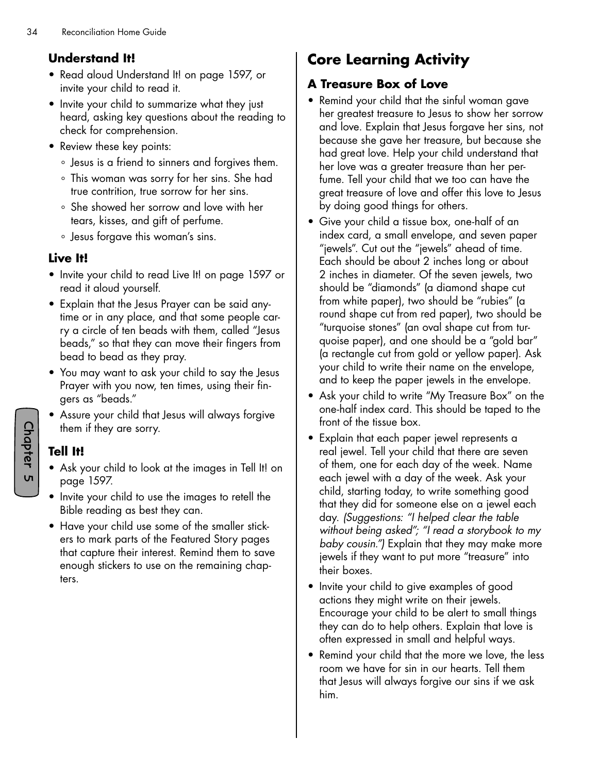#### **Understand It!**

- Read aloud Understand It! on page 1597, or invite your child to read it.
- Invite your child to summarize what they just heard, asking key questions about the reading to check for comprehension.
- Review these key points:
	- ° Jesus is a friend to sinners and forgives them.
	- ° This woman was sorry for her sins. She had true contrition, true sorrow for her sins.
	- ° She showed her sorrow and love with her tears, kisses, and gift of perfume.
	- ° Jesus forgave this woman's sins.

#### **Live It!**

- Invite your child to read Live It! on page 1597 or read it aloud yourself.
- Explain that the Jesus Prayer can be said anytime or in any place, and that some people carry a circle of ten beads with them, called "Jesus beads," so that they can move their fingers from bead to bead as they pray.
- You may want to ask your child to say the Jesus Prayer with you now, ten times, using their fingers as "beads."
- Assure your child that Jesus will always forgive them if they are sorry.

#### **Tell It!**

- Ask your child to look at the images in Tell It! on page 1597.
- Invite your child to use the images to retell the Bible reading as best they can.
- Have your child use some of the smaller stickers to mark parts of the Featured Story pages that capture their interest. Remind them to save enough stickers to use on the remaining chapters.

# **Core Learning Activity**

#### **A Treasure Box of Love**

- Remind your child that the sinful woman gave her greatest treasure to Jesus to show her sorrow and love. Explain that Jesus forgave her sins, not because she gave her treasure, but because she had great love. Help your child understand that her love was a greater treasure than her perfume. Tell your child that we too can have the great treasure of love and offer this love to Jesus by doing good things for others.
- Give your child a tissue box, one-half of an index card, a small envelope, and seven paper "jewels". Cut out the "jewels" ahead of time. Each should be about 2 inches long or about 2 inches in diameter. Of the seven jewels, two should be "diamonds" (a diamond shape cut from white paper), two should be "rubies" (a round shape cut from red paper), two should be "turquoise stones" (an oval shape cut from turquoise paper), and one should be a "gold bar" (a rectangle cut from gold or yellow paper). Ask your child to write their name on the envelope, and to keep the paper jewels in the envelope.
- Ask your child to write "My Treasure Box" on the one-half index card. This should be taped to the front of the tissue box.
- Explain that each paper jewel represents a real jewel. Tell your child that there are seven of them, one for each day of the week. Name each jewel with a day of the week. Ask your child, starting today, to write something good that they did for someone else on a jewel each day. *(Suggestions: "I helped clear the table without being asked"; "I read a storybook to my baby cousin.")* Explain that they may make more jewels if they want to put more "treasure" into their boxes.
- Invite your child to give examples of good actions they might write on their jewels. Encourage your child to be alert to small things they can do to help others. Explain that love is often expressed in small and helpful ways.
- Remind your child that the more we love, the less room we have for sin in our hearts. Tell them that Jesus will always forgive our sins if we ask him.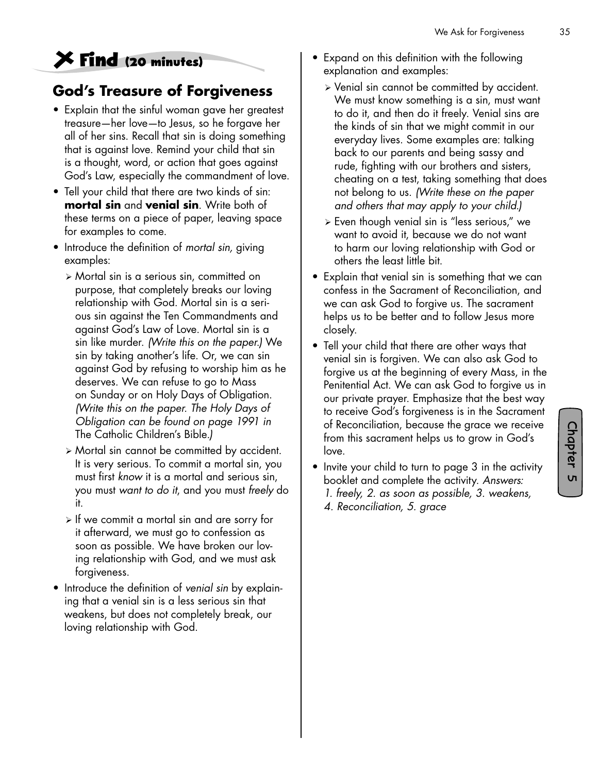# **Find (20 minutes)**

### **God's Treasure of Forgiveness**

- Explain that the sinful woman gave her greatest treasure—her love—to Jesus, so he forgave her all of her sins. Recall that sin is doing something that is against love. Remind your child that sin is a thought, word, or action that goes against God's Law, especially the commandment of love.
- Tell your child that there are two kinds of sin: **mortal sin** and **venial sin**. Write both of these terms on a piece of paper, leaving space for examples to come.
- Introduce the definition of *mortal sin,* giving examples:
	- ¾ Mortal sin is a serious sin, committed on purpose, that completely breaks our loving relationship with God. Mortal sin is a serious sin against the Ten Commandments and against God's Law of Love. Mortal sin is a sin like murder. *(Write this on the paper.)* We sin by taking another's life. Or, we can sin against God by refusing to worship him as he deserves. We can refuse to go to Mass on Sunday or on Holy Days of Obligation. *(Write this on the paper. The Holy Days of Obligation can be found on page 1991 in*  The Catholic Children's Bible*.)*
	- ¾ Mortal sin cannot be committed by accident. It is very serious. To commit a mortal sin, you must first *know* it is a mortal and serious sin, you must *want to do it*, and you must *freely* do it.
	- $\triangleright$  If we commit a mortal sin and are sorry for it afterward, we must go to confession as soon as possible. We have broken our loving relationship with God, and we must ask forgiveness.
- Introduce the definition of *venial sin* by explaining that a venial sin is a less serious sin that weakens, but does not completely break, our loving relationship with God.
- Expand on this definition with the following explanation and examples:
	- ¾ Venial sin cannot be committed by accident. We must know something is a sin, must want to do it, and then do it freely. Venial sins are the kinds of sin that we might commit in our everyday lives. Some examples are: talking back to our parents and being sassy and rude, fighting with our brothers and sisters, cheating on a test, taking something that does not belong to us. *(Write these on the paper and others that may apply to your child.)*
	- ¾ Even though venial sin is "less serious," we want to avoid it, because we do not want to harm our loving relationship with God or others the least little bit.
- Explain that venial sin is something that we can confess in the Sacrament of Reconciliation, and we can ask God to forgive us. The sacrament helps us to be better and to follow Jesus more closely.
- Tell your child that there are other ways that venial sin is forgiven. We can also ask God to forgive us at the beginning of every Mass, in the Penitential Act. We can ask God to forgive us in our private prayer. Emphasize that the best way to receive God's forgiveness is in the Sacrament of Reconciliation, because the grace we receive from this sacrament helps us to grow in God's love.

- Invite your child to turn to page 3 in the activity booklet and complete the activity. *Answers: 1. freely, 2. as soon as possible, 3. weakens,* 
	- *4. Reconciliation, 5. grace*